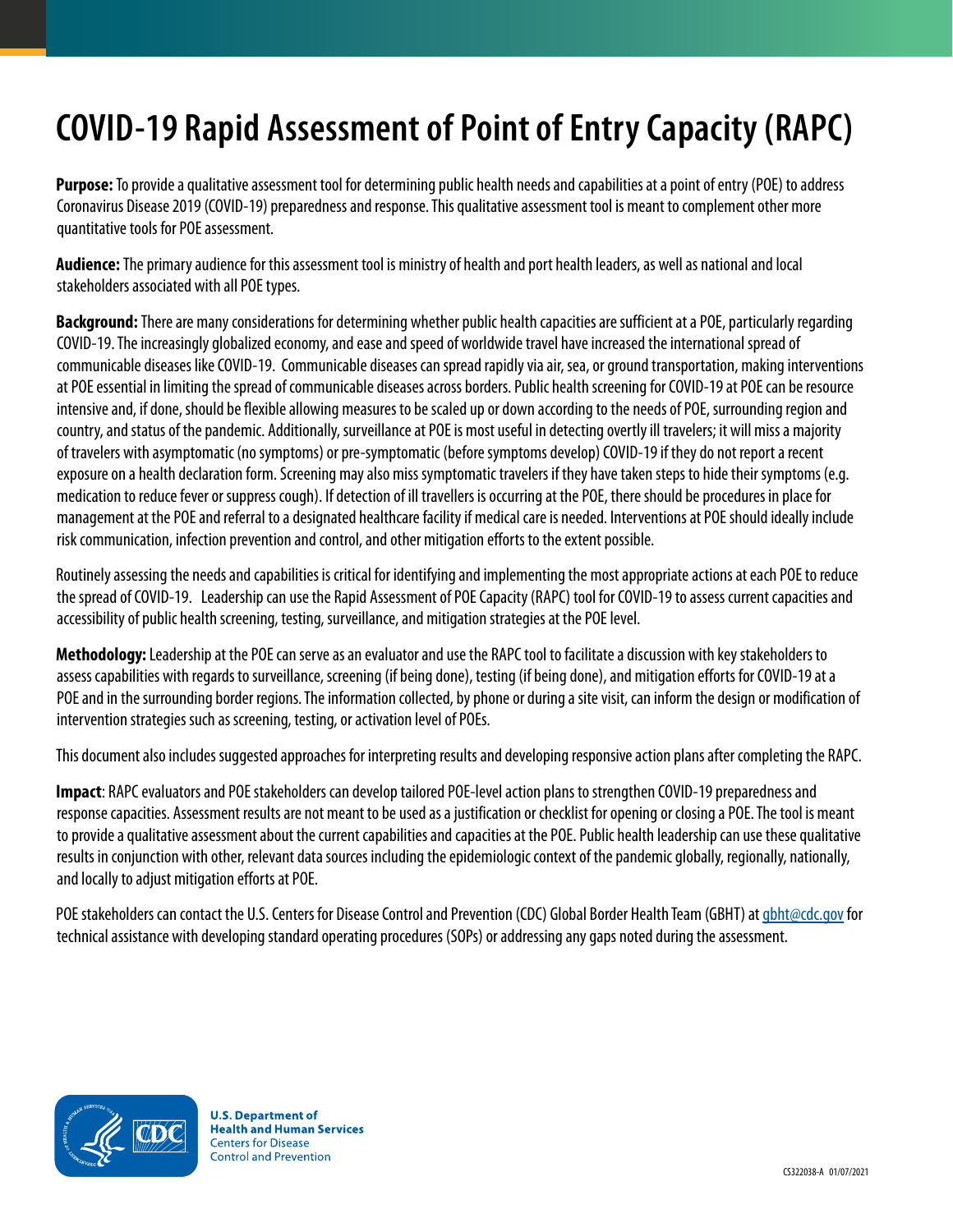# **COVID-19 Rapid Assessment of Point of Entry Capacity (RAPC)**

**Purpose:** To provide a qualitative assessment tool for determining public health needs and capabilities at a point of entry (POE) to address Coronavirus Disease 2019 (COVID-19) preparedness and response. This qualitative assessment tool is meant to complement other more quantitative tools for POE assessment.

**Audience:** The primary audience for this assessment tool is ministry of health and port health leaders, as well as national and local stakeholders associated with all POE types.

**Background:** There are many considerations for determining whether public health capacities are sufficient at a POE, particularly regarding COVID-19. The increasingly globalized economy, and ease and speed of worldwide travel have increased the international spread of communicable diseases like COVID-19. Communicable diseases can spread rapidly via air, sea, or ground transportation, making interventions at POE essential in limiting the spread of communicable diseases across borders. Public health screening for COVID-19 at POE can be resource intensive and, if done, should be flexible allowing measures to be scaled up or down according to the needs of POE, surrounding region and country, and status of the pandemic. Additionally, surveillance at POE is most useful in detecting overtly ill travelers; it will miss a majority of travelers with asymptomatic (no symptoms) or pre-symptomatic (before symptoms develop) COVID-19 if they do not report a recent exposure on a health declaration form. Screening may also miss symptomatic travelers if they have taken steps to hide their symptoms (e.g. medication to reduce fever or suppress cough). If detection of ill travellers is occurring at the POE, there should be procedures in place for management at the POE and referral to a designated healthcare facility if medical care is needed. Interventions at POE should ideally include risk communication, infection prevention and control, and other mitigation efforts to the extent possible.

Routinely assessing the needs and capabilities is critical for identifying and implementing the most appropriate actions at each POE to reduce the spread of COVID-19. Leadership can use the Rapid Assessment of POE Capacity (RAPC) tool for COVID-19 to assess current capacities and accessibility of public health screening, testing, surveillance, and mitigation strategies at the POE level.

**Methodology:** Leadership at the POE can serve as an evaluator and use the RAPC tool to facilitate a discussion with key stakeholders to assess capabilities with regards to surveillance, screening (if being done), testing (if being done), and mitigation efforts for COVID-19 at a POE and in the surrounding border regions. The information collected, by phone or during a site visit, can inform the design or modification of intervention strategies such as screening, testing, or activation level of POEs.

This document also includes suggested approaches for interpreting results and developing responsive action plans after completing the RAPC.

**Impact**: RAPC evaluators and POE stakeholders can develop tailored POE-level action plans to strengthen COVID-19 preparedness and response capacities. Assessment results are not meant to be used as a justification or checklist for opening or closing a POE. The tool is meant to provide a qualitative assessment about the current capabilities and capacities at the POE. Public health leadership can use these qualitative results in conjunction with other, relevant data sources including the epidemiologic context of the pandemic globally, regionally, nationally, and locally to adjust mitigation efforts at POE.

POE stakeholders can contact the U.S. Centers for Disease Control and Prevention (CDC) Global Border Health Team (GBHT) at [gbht@cdc.gov](mailto:gbht%40cdc.gov?subject=RAPC%20technical%20assistance) for technical assistance with developing standard operating procedures (SOPs) or addressing any gaps noted during the assessment.

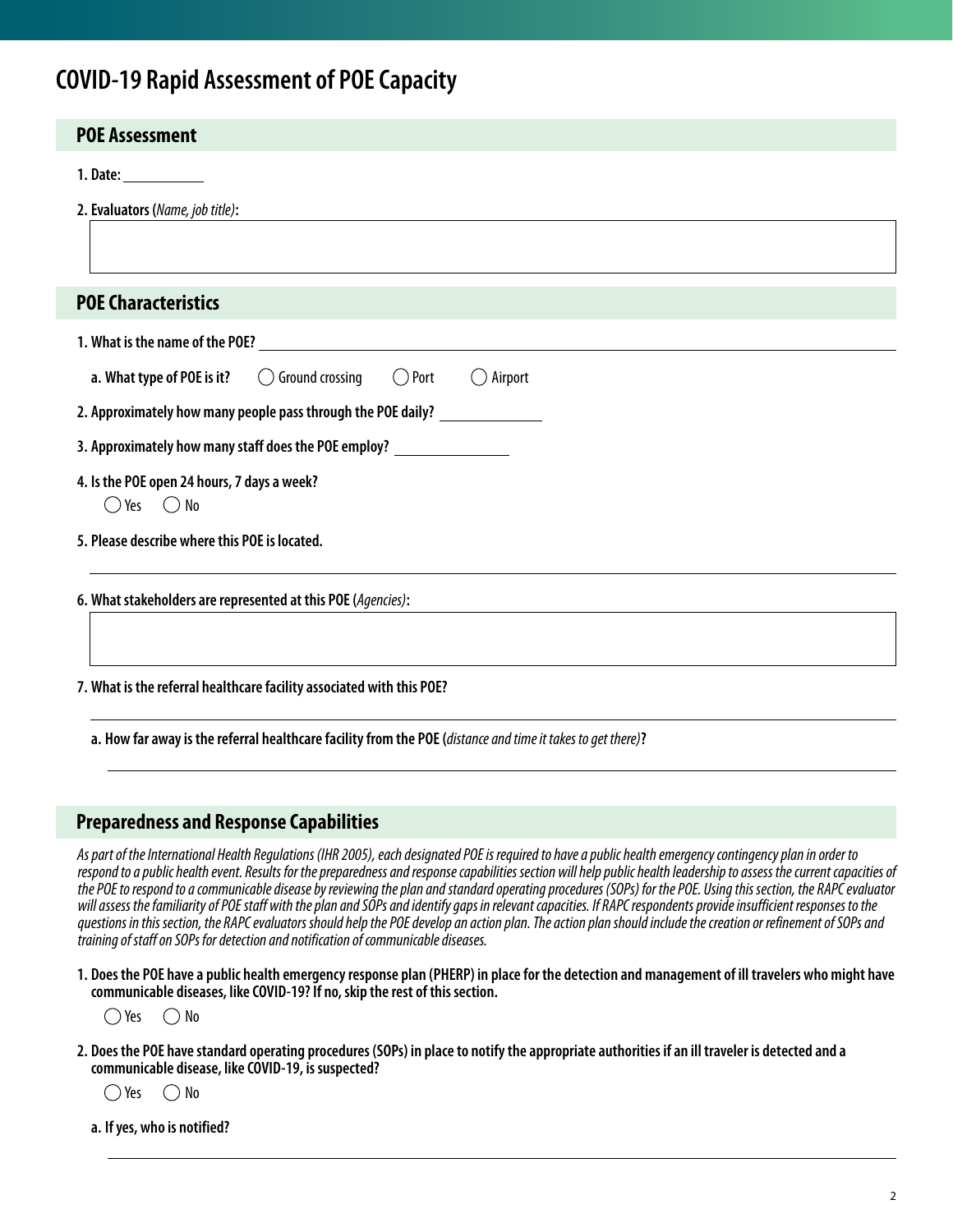# **COVID-19 Rapid Assessment of POE Capacity**

| <b>POE Assessment</b>                                                                                       |
|-------------------------------------------------------------------------------------------------------------|
| 1. Date: _____________                                                                                      |
| 2. Evaluators (Name, job title):                                                                            |
| <b>POE Characteristics</b>                                                                                  |
| 1. What is the name of the POE? University of the contract of the POE?                                      |
| a. What type of POE is it? $\bigcirc$ Ground crossing<br>$\bigcirc$ Port<br>$\bigcirc$ Airport              |
| 2. Approximately how many people pass through the POE daily?                                                |
| 3. Approximately how many staff does the POE employ? _____________________                                  |
| 4. Is the POE open 24 hours, 7 days a week?<br>$\bigcirc$ Yes $\bigcirc$ No                                 |
| 5. Please describe where this POE is located.                                                               |
| 6. What stakeholders are represented at this POE (Agencies):                                                |
| 7. What is the referral healthcare facility associated with this POE?                                       |
| a. How far away is the referral healthcare facility from the POE (distance and time it takes to get there)? |

## **Preparedness and Response Capabilities**

*As part of the International Health Regulations (IHR 2005), each designated POE is required to have a public health emergency contingency plan in order to respond to a public health event. Results for the preparedness and response capabilities section will help public health leadership to assess the current capacities of the POE to respond to a communicable disease by reviewing the plan and standard operating procedures (SOPs) for the POE. Using this section, the RAPC evaluator will assess the familiarity of POE staff with the plan and SOPs and identify gaps in relevant capacities. If RAPC respondents provide insufficient responses to the questions in this section, the RAPC evaluators should help the POE develop an action plan. The action plan should include the creation or refinement of SOPs and training of staff on SOPs for detection and notification of communicable diseases.* 

**1. Does the POE have a public health emergency response plan (PHERP) in place for the detection and management of ill travelers who might have communicable diseases, like COVID-19? If no, skip the rest of this section.**

 $\bigcap$  Yes  $\bigcap$  No

**2. Does the POE have standard operating procedures (SOPs) in place to notify the appropriate authorities if an ill traveler is detected and a communicable disease, like COVID-19, is suspected?** 

 $\bigcirc$  Yes  $\bigcirc$  No

**a. If yes, who is notified?**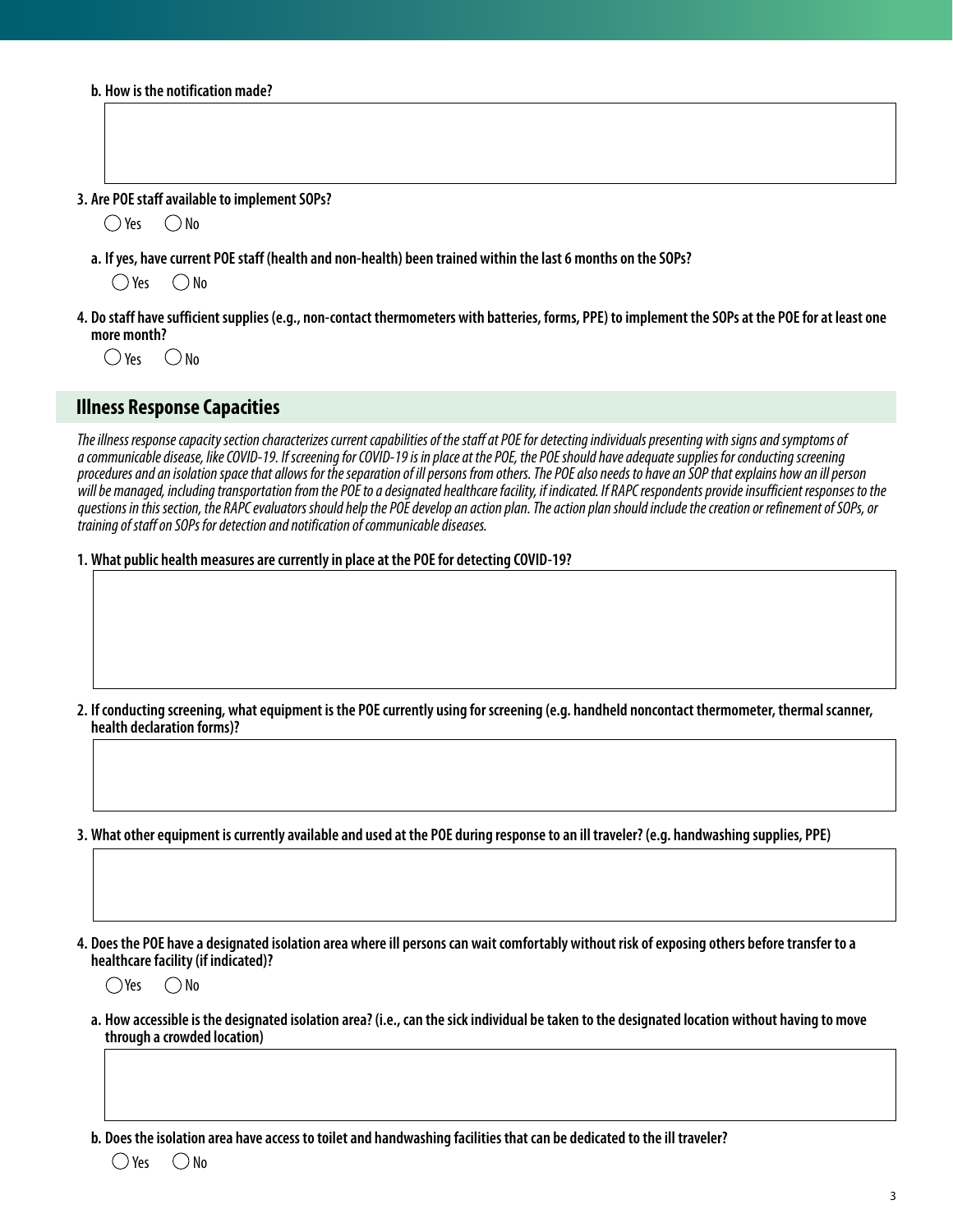|  |  |  |  | b. How is the notification made? |  |
|--|--|--|--|----------------------------------|--|
|--|--|--|--|----------------------------------|--|

#### **3. Are POE staff available to implement SOPs?**

 $\bigcirc$  Yes  $\bigcirc$  No

**a. If yes, have current POE staff (health and non-health) been trained within the last 6 months on the SOPs?**

 $\bigcap$  Yes  $\bigcap$  No

**4. Do staff have sufficient supplies (e.g., non-contact thermometers with batteries, forms, PPE) to implement the SOPs at the POE for at least one more month?**

 $\bigcap$  Yes  $\bigcap$  No

#### **Illness Response Capacities**

*The illness response capacity section characterizes current capabilities of the staff at POE for detecting individuals presenting with signs and symptoms of a communicable disease, like COVID-19. If screening for COVID-19 is in place at the POE, the POE should have adequate supplies for conducting screening procedures and an isolation space that allows for the separation of ill persons from others. The POE also needs to have an SOP that explains how an ill person will be managed, including transportation from the POE to a designated healthcare facility, if indicated. If RAPC respondents provide insufficient responses to the questions in this section, the RAPC evaluators should help the POE develop an action plan. The action plan should include the creation or refinement of SOPs, or training of staff on SOPs for detection and notification of communicable diseases.* 

#### **1. What public health measures are currently in place at the POE for detecting COVID-19?**

**2. If conducting screening, what equipment is the POE currently using for screening (e.g. handheld noncontact thermometer, thermal scanner, health declaration forms)?**

**3. What other equipment is currently available and used at the POE during response to an ill traveler? (e.g. handwashing supplies, PPE)**

**4. Does the POE have a designated isolation area where ill persons can wait comfortably without risk of exposing others before transfer to a healthcare facility (if indicated)?**

 $\bigcap$ Yes  $\bigcap$ No

**a. How accessible is the designated isolation area? (i.e., can the sick individual be taken to the designated location without having to move through a crowded location)**

**b. Does the isolation area have access to toilet and handwashing facilities that can be dedicated to the ill traveler?**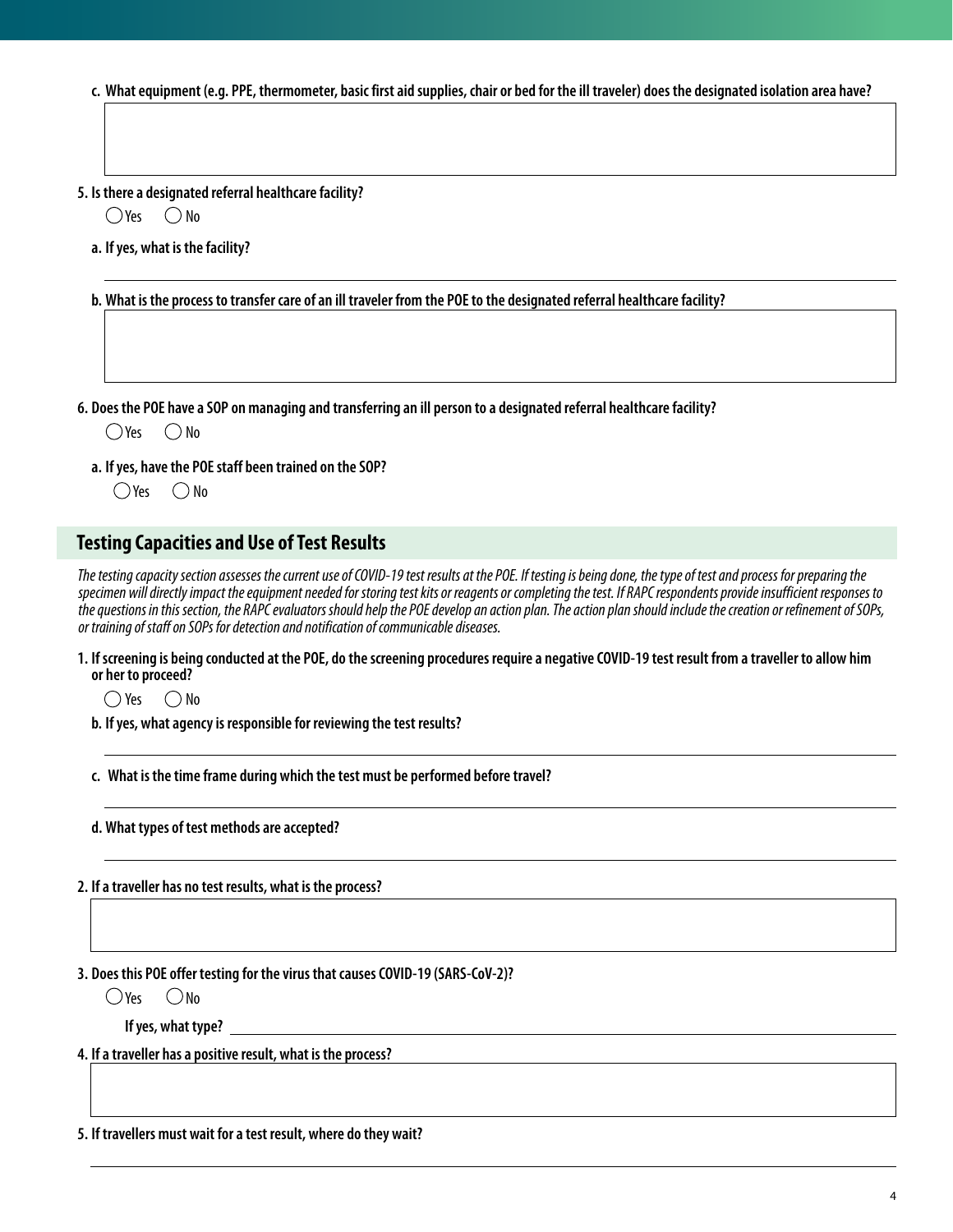**c. What equipment (e.g. PPE, thermometer, basic first aid supplies, chair or bed for the ill traveler) does the designated isolation area have?**

**5. Is there a designated referral healthcare facility?** 

 $\bigcirc$ Yes  $\bigcirc$  No

**a. If yes, what is the facility?**

**b. What is the process to transfer care of an ill traveler from the POE to the designated referral healthcare facility?**

**6. Does the POE have a SOP on managing and transferring an ill person to a designated referral healthcare facility?**

 $O$  Yes  $O$  No

**a. If yes, have the POE staff been trained on the SOP?**

 $\bigcap$ Yes  $\bigcap$  No

# **Testing Capacities and Use of Test Results**

*The testing capacity section assesses the current use of COVID-19 test results at the POE. If testing is being done, the type of test and process for preparing the specimen will directly impact the equipment needed for storing test kits or reagents or completing the test. If RAPC respondents provide insufficient responses to the questions in this section, the RAPC evaluators should help the POE develop an action plan. The action plan should include the creation or refinement of SOPs, or training of staff on SOPs for detection and notification of communicable diseases.* 

**1. If screening is being conducted at the POE, do the screening procedures require a negative COVID-19 test result from a traveller to allow him or her to proceed?**

 $\bigcap$  Yes  $\bigcap$  No

**b. If yes, what agency is responsible for reviewing the test results?**

**c. What is the time frame during which the test must be performed before travel?**

**d. What types of test methods are accepted?**

**2. If a traveller has no test results, what is the process?**

**3. Does this POE offer testing for the virus that causes COVID-19 (SARS-CoV-2)?**

 $O$ Yes  $O$ No

**If yes, what type?**

**4. If a traveller has a positive result, what is the process?**

**5. If travellers must wait for a test result, where do they wait?**